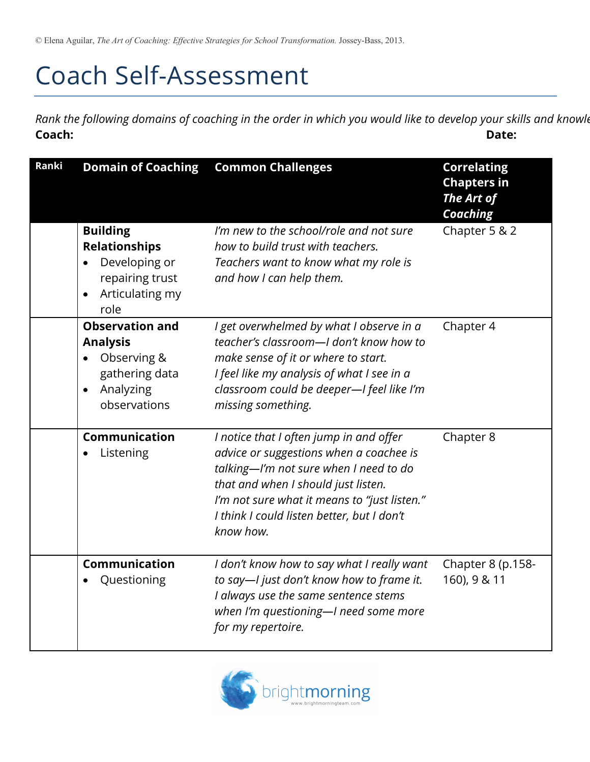## Coach Self-Assessment

*Rank the following domains of coaching in the order in which you would like to develop your skills and knowle* **Coach: Date:** 

| <b>Ranki</b> | <b>Domain of Coaching</b>                                                                                            | <b>Common Challenges</b>                                                                                                                                                                                                                                                       | <b>Correlating</b><br><b>Chapters in</b><br>The Art of<br><b>Coaching</b> |
|--------------|----------------------------------------------------------------------------------------------------------------------|--------------------------------------------------------------------------------------------------------------------------------------------------------------------------------------------------------------------------------------------------------------------------------|---------------------------------------------------------------------------|
|              | <b>Building</b><br><b>Relationships</b><br>Developing or<br>repairing trust<br>Articulating my<br>role               | I'm new to the school/role and not sure<br>how to build trust with teachers.<br>Teachers want to know what my role is<br>and how I can help them.                                                                                                                              | Chapter 5 & 2                                                             |
|              | <b>Observation and</b><br><b>Analysis</b><br>Observing &<br>gathering data<br>Analyzing<br>$\bullet$<br>observations | I get overwhelmed by what I observe in a<br>teacher's classroom-I don't know how to<br>make sense of it or where to start.<br>I feel like my analysis of what I see in a<br>classroom could be deeper-I feel like I'm<br>missing something.                                    | Chapter 4                                                                 |
|              | Communication<br>Listening                                                                                           | I notice that I often jump in and offer<br>advice or suggestions when a coachee is<br>talking-I'm not sure when I need to do<br>that and when I should just listen.<br>I'm not sure what it means to "just listen."<br>I think I could listen better, but I don't<br>know how. | Chapter 8                                                                 |
|              | Communication<br>Questioning                                                                                         | I don't know how to say what I really want<br>to say-I just don't know how to frame it.<br>I always use the same sentence stems<br>when I'm questioning-I need some more<br>for my repertoire.                                                                                 | Chapter 8 (p.158-<br>160), 9 & 11                                         |